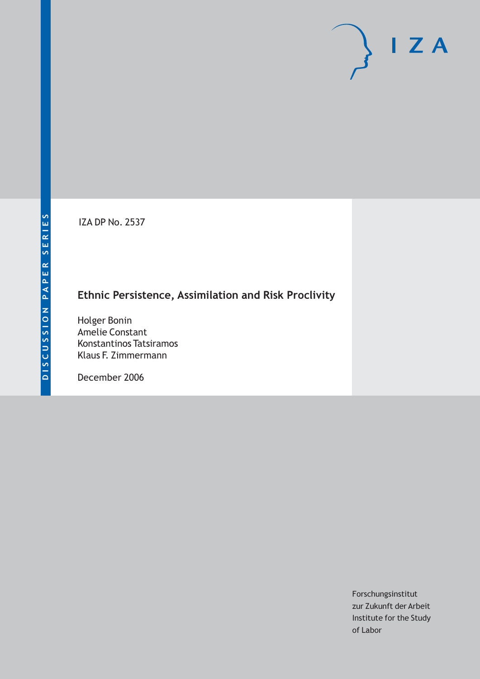IZA DP No. 2537

# Ethnic Persistence, Assimilation and Risk Proclivity

Holger Bonin Amelie Constant **Konstantinos Tatsiramos** Klaus F. Zimmermann

December 2006

Forschungsinstitut zur Zukunft der Arbeit Institute for the Study of Labor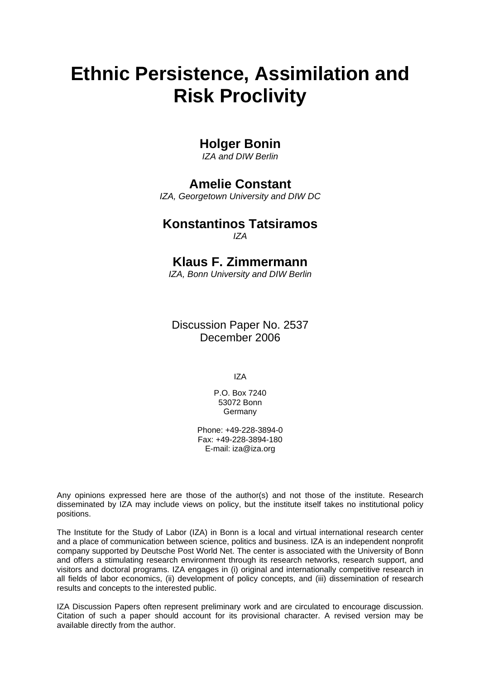# **Ethnic Persistence, Assimilation and Risk Proclivity**

# **Holger Bonin**

*IZA and DIW Berlin* 

# **Amelie Constant**

*IZA, Georgetown University and DIW DC*

# **Konstantinos Tatsiramos**

*IZA*

# **Klaus F. Zimmermann**

*IZA, Bonn University and DIW Berlin* 

Discussion Paper No. 2537 December 2006

IZA

P.O. Box 7240 53072 Bonn Germany

Phone: +49-228-3894-0 Fax: +49-228-3894-180 E-mail: [iza@iza.org](mailto:iza@iza.org)

Any opinions expressed here are those of the author(s) and not those of the institute. Research disseminated by IZA may include views on policy, but the institute itself takes no institutional policy positions.

The Institute for the Study of Labor (IZA) in Bonn is a local and virtual international research center and a place of communication between science, politics and business. IZA is an independent nonprofit company supported by Deutsche Post World Net. The center is associated with the University of Bonn and offers a stimulating research environment through its research networks, research support, and visitors and doctoral programs. IZA engages in (i) original and internationally competitive research in all fields of labor economics, (ii) development of policy concepts, and (iii) dissemination of research results and concepts to the interested public.

IZA Discussion Papers often represent preliminary work and are circulated to encourage discussion. Citation of such a paper should account for its provisional character. A revised version may be available directly from the author.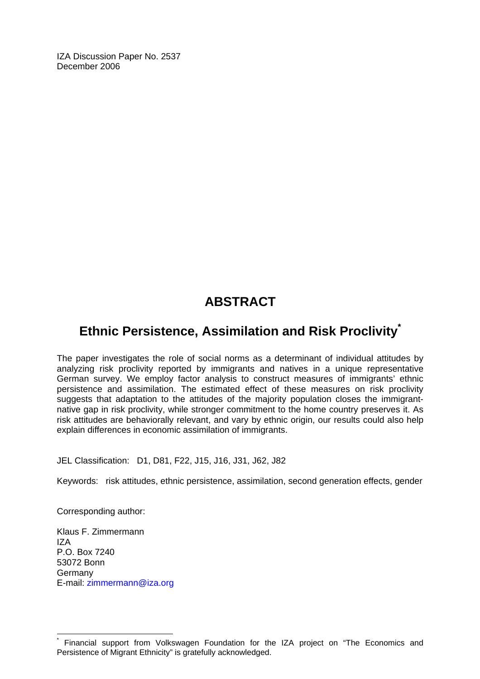IZA Discussion Paper No. 2537 December 2006

# **ABSTRACT**

# **Ethnic Persistence, Assimilation and Risk Proclivity[\\*](#page-2-0)**

The paper investigates the role of social norms as a determinant of individual attitudes by analyzing risk proclivity reported by immigrants and natives in a unique representative German survey. We employ factor analysis to construct measures of immigrants' ethnic persistence and assimilation. The estimated effect of these measures on risk proclivity suggests that adaptation to the attitudes of the majority population closes the immigrantnative gap in risk proclivity, while stronger commitment to the home country preserves it. As risk attitudes are behaviorally relevant, and vary by ethnic origin, our results could also help explain differences in economic assimilation of immigrants.

JEL Classification: D1, D81, F22, J15, J16, J31, J62, J82

Keywords: risk attitudes, ethnic persistence, assimilation, second generation effects, gender

Corresponding author:

 $\overline{a}$ 

Klaus F. Zimmermann IZA P.O. Box 7240 53072 Bonn Germany E-mail: [zimmermann@iza.org](mailto:zimmermann@iza.org)

<span id="page-2-0"></span><sup>\*</sup> Financial support from Volkswagen Foundation for the IZA project on "The Economics and Persistence of Migrant Ethnicity" is gratefully acknowledged.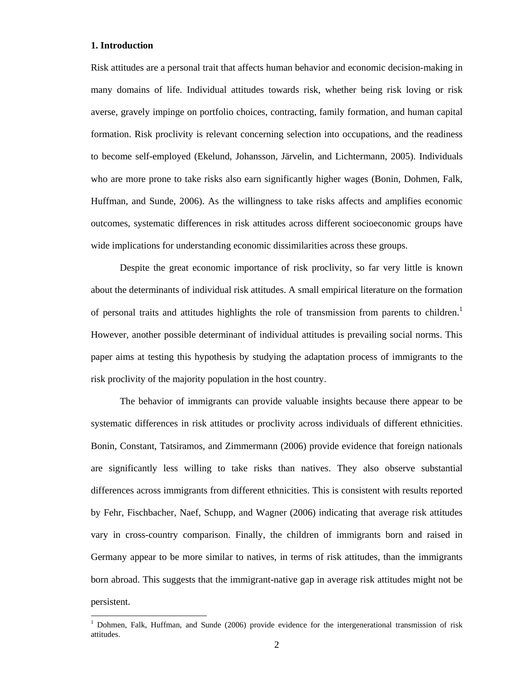### **1. Introduction**

 $\overline{a}$ 

Risk attitudes are a personal trait that affects human behavior and economic decision-making in many domains of life. Individual attitudes towards risk, whether being risk loving or risk averse, gravely impinge on portfolio choices, contracting, family formation, and human capital formation. Risk proclivity is relevant concerning selection into occupations, and the readiness to become self-employed (Ekelund, Johansson, Järvelin, and Lichtermann, 2005). Individuals who are more prone to take risks also earn significantly higher wages (Bonin, Dohmen, Falk, Huffman, and Sunde, 2006). As the willingness to take risks affects and amplifies economic outcomes, systematic differences in risk attitudes across different socioeconomic groups have wide implications for understanding economic dissimilarities across these groups.

Despite the great economic importance of risk proclivity, so far very little is known about the determinants of individual risk attitudes. A small empirical literature on the formation of personal traits and attitudes highlights the role of transmission from parents to children.<sup>1</sup> However, another possible determinant of individual attitudes is prevailing social norms. This paper aims at testing this hypothesis by studying the adaptation process of immigrants to the risk proclivity of the majority population in the host country.

The behavior of immigrants can provide valuable insights because there appear to be systematic differences in risk attitudes or proclivity across individuals of different ethnicities. Bonin, Constant, Tatsiramos, and Zimmermann (2006) provide evidence that foreign nationals are significantly less willing to take risks than natives. They also observe substantial differences across immigrants from different ethnicities. This is consistent with results reported by Fehr, Fischbacher, Naef, Schupp, and Wagner (2006) indicating that average risk attitudes vary in cross-country comparison. Finally, the children of immigrants born and raised in Germany appear to be more similar to natives, in terms of risk attitudes, than the immigrants born abroad. This suggests that the immigrant-native gap in average risk attitudes might not be persistent.

<sup>&</sup>lt;sup>1</sup> Dohmen, Falk, Huffman, and Sunde (2006) provide evidence for the intergenerational transmission of risk attitudes.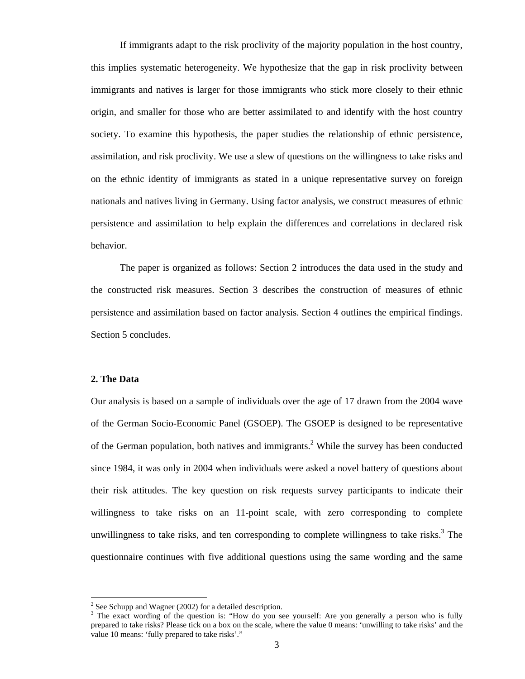If immigrants adapt to the risk proclivity of the majority population in the host country, this implies systematic heterogeneity. We hypothesize that the gap in risk proclivity between immigrants and natives is larger for those immigrants who stick more closely to their ethnic origin, and smaller for those who are better assimilated to and identify with the host country society. To examine this hypothesis, the paper studies the relationship of ethnic persistence, assimilation, and risk proclivity. We use a slew of questions on the willingness to take risks and on the ethnic identity of immigrants as stated in a unique representative survey on foreign nationals and natives living in Germany. Using factor analysis, we construct measures of ethnic persistence and assimilation to help explain the differences and correlations in declared risk behavior.

The paper is organized as follows: Section 2 introduces the data used in the study and the constructed risk measures. Section 3 describes the construction of measures of ethnic persistence and assimilation based on factor analysis. Section 4 outlines the empirical findings. Section 5 concludes.

# **2. The Data**

 $\overline{a}$ 

Our analysis is based on a sample of individuals over the age of 17 drawn from the 2004 wave of the German Socio-Economic Panel (GSOEP). The GSOEP is designed to be representative of the German population, both natives and immigrants.<sup>2</sup> While the survey has been conducted since 1984, it was only in 2004 when individuals were asked a novel battery of questions about their risk attitudes. The key question on risk requests survey participants to indicate their willingness to take risks on an 11-point scale, with zero corresponding to complete unwillingness to take risks, and ten corresponding to complete willingness to take risks.<sup>3</sup> The questionnaire continues with five additional questions using the same wording and the same

 $2$  See Schupp and Wagner (2002) for a detailed description.

<sup>&</sup>lt;sup>3</sup> The exact wording of the question is: "How do you see yourself: Are you generally a person who is fully prepared to take risks? Please tick on a box on the scale, where the value 0 means: 'unwilling to take risks' and the value 10 means: 'fully prepared to take risks'."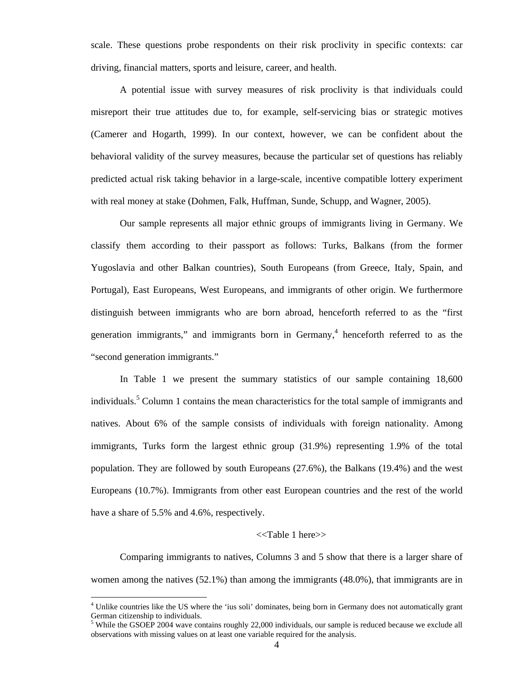scale. These questions probe respondents on their risk proclivity in specific contexts: car driving, financial matters, sports and leisure, career, and health.

A potential issue with survey measures of risk proclivity is that individuals could misreport their true attitudes due to, for example, self-servicing bias or strategic motives (Camerer and Hogarth, 1999). In our context, however, we can be confident about the behavioral validity of the survey measures, because the particular set of questions has reliably predicted actual risk taking behavior in a large-scale, incentive compatible lottery experiment with real money at stake (Dohmen, Falk, Huffman, Sunde, Schupp, and Wagner, 2005).

Our sample represents all major ethnic groups of immigrants living in Germany. We classify them according to their passport as follows: Turks, Balkans (from the former Yugoslavia and other Balkan countries), South Europeans (from Greece, Italy, Spain, and Portugal), East Europeans, West Europeans, and immigrants of other origin. We furthermore distinguish between immigrants who are born abroad, henceforth referred to as the "first generation immigrants," and immigrants born in Germany, $4$  henceforth referred to as the "second generation immigrants."

In Table 1 we present the summary statistics of our sample containing 18,600 individuals.<sup>5</sup> Column 1 contains the mean characteristics for the total sample of immigrants and natives. About 6% of the sample consists of individuals with foreign nationality. Among immigrants, Turks form the largest ethnic group (31.9%) representing 1.9% of the total population. They are followed by south Europeans (27.6%), the Balkans (19.4%) and the west Europeans (10.7%). Immigrants from other east European countries and the rest of the world have a share of 5.5% and 4.6%, respectively.

# <<Table 1 here>>

Comparing immigrants to natives, Columns 3 and 5 show that there is a larger share of women among the natives (52.1%) than among the immigrants (48.0%), that immigrants are in

 $\overline{a}$ 

<sup>&</sup>lt;sup>4</sup> Unlike countries like the US where the 'ius soli' dominates, being born in Germany does not automatically grant German citizenship to individuals.

<sup>&</sup>lt;sup>5</sup> While the GSOEP 2004 wave contains roughly 22,000 individuals, our sample is reduced because we exclude all observations with missing values on at least one variable required for the analysis.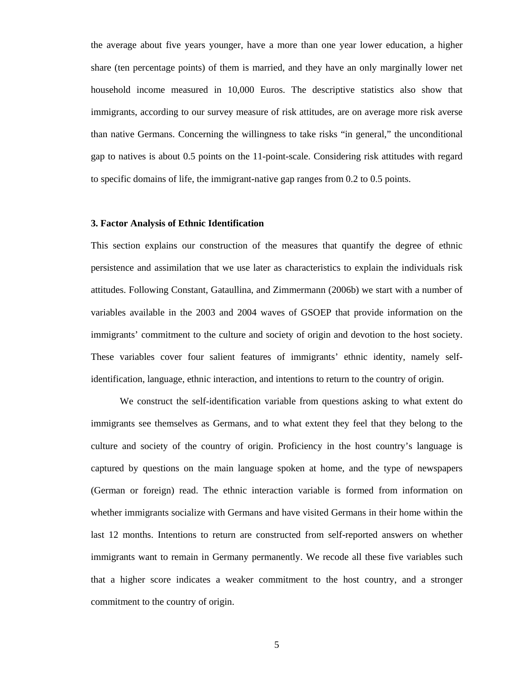the average about five years younger, have a more than one year lower education, a higher share (ten percentage points) of them is married, and they have an only marginally lower net household income measured in 10,000 Euros. The descriptive statistics also show that immigrants, according to our survey measure of risk attitudes, are on average more risk averse than native Germans. Concerning the willingness to take risks "in general," the unconditional gap to natives is about 0.5 points on the 11-point-scale. Considering risk attitudes with regard to specific domains of life, the immigrant-native gap ranges from 0.2 to 0.5 points.

### **3. Factor Analysis of Ethnic Identification**

This section explains our construction of the measures that quantify the degree of ethnic persistence and assimilation that we use later as characteristics to explain the individuals risk attitudes. Following Constant, Gataullina, and Zimmermann (2006b) we start with a number of variables available in the 2003 and 2004 waves of GSOEP that provide information on the immigrants' commitment to the culture and society of origin and devotion to the host society. These variables cover four salient features of immigrants' ethnic identity, namely selfidentification, language, ethnic interaction, and intentions to return to the country of origin.

We construct the self-identification variable from questions asking to what extent do immigrants see themselves as Germans, and to what extent they feel that they belong to the culture and society of the country of origin. Proficiency in the host country's language is captured by questions on the main language spoken at home, and the type of newspapers (German or foreign) read. The ethnic interaction variable is formed from information on whether immigrants socialize with Germans and have visited Germans in their home within the last 12 months. Intentions to return are constructed from self-reported answers on whether immigrants want to remain in Germany permanently. We recode all these five variables such that a higher score indicates a weaker commitment to the host country, and a stronger commitment to the country of origin.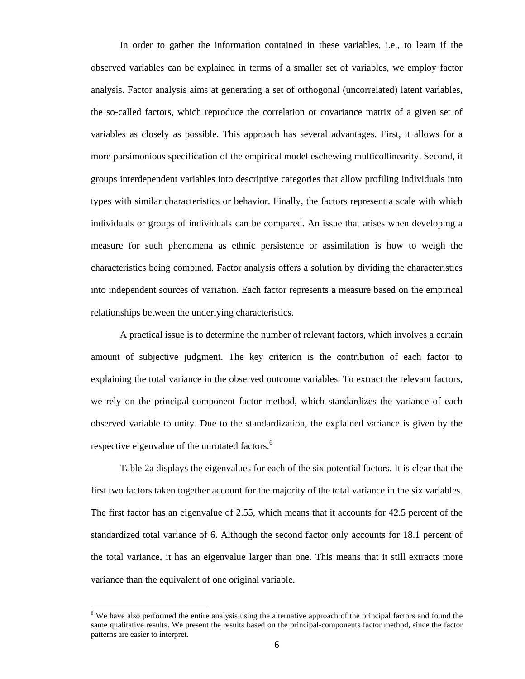In order to gather the information contained in these variables, i.e., to learn if the observed variables can be explained in terms of a smaller set of variables, we employ factor analysis. Factor analysis aims at generating a set of orthogonal (uncorrelated) latent variables, the so-called factors, which reproduce the correlation or covariance matrix of a given set of variables as closely as possible. This approach has several advantages. First, it allows for a more parsimonious specification of the empirical model eschewing multicollinearity. Second, it groups interdependent variables into descriptive categories that allow profiling individuals into types with similar characteristics or behavior. Finally, the factors represent a scale with which individuals or groups of individuals can be compared. An issue that arises when developing a measure for such phenomena as ethnic persistence or assimilation is how to weigh the characteristics being combined. Factor analysis offers a solution by dividing the characteristics into independent sources of variation. Each factor represents a measure based on the empirical relationships between the underlying characteristics.

A practical issue is to determine the number of relevant factors, which involves a certain amount of subjective judgment. The key criterion is the contribution of each factor to explaining the total variance in the observed outcome variables. To extract the relevant factors, we rely on the principal-component factor method, which standardizes the variance of each observed variable to unity. Due to the standardization, the explained variance is given by the respective eigenvalue of the unrotated factors.<sup>6</sup>

Table 2a displays the eigenvalues for each of the six potential factors. It is clear that the first two factors taken together account for the majority of the total variance in the six variables. The first factor has an eigenvalue of 2.55, which means that it accounts for 42.5 percent of the standardized total variance of 6. Although the second factor only accounts for 18.1 percent of the total variance, it has an eigenvalue larger than one. This means that it still extracts more variance than the equivalent of one original variable.

 $\overline{a}$ 

<sup>&</sup>lt;sup>6</sup> We have also performed the entire analysis using the alternative approach of the principal factors and found the same qualitative results. We present the results based on the principal-components factor method, since the factor patterns are easier to interpret.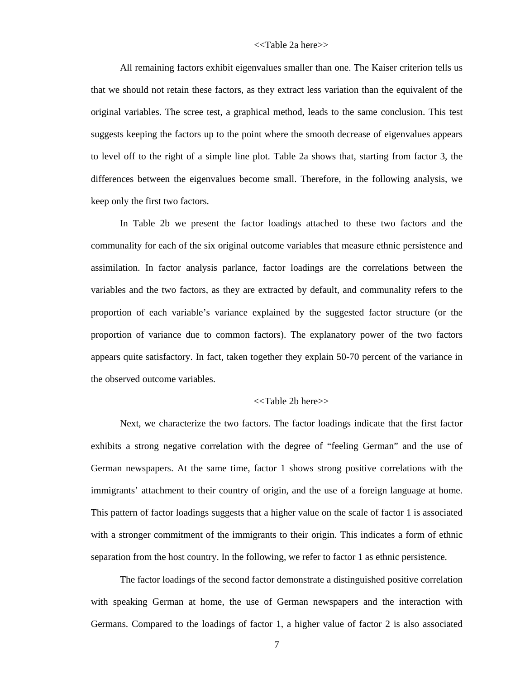## <<Table 2a here>>

All remaining factors exhibit eigenvalues smaller than one. The Kaiser criterion tells us that we should not retain these factors, as they extract less variation than the equivalent of the original variables. The scree test, a graphical method, leads to the same conclusion. This test suggests keeping the factors up to the point where the smooth decrease of eigenvalues appears to level off to the right of a simple line plot. Table 2a shows that, starting from factor 3, the differences between the eigenvalues become small. Therefore, in the following analysis, we keep only the first two factors.

In Table 2b we present the factor loadings attached to these two factors and the communality for each of the six original outcome variables that measure ethnic persistence and assimilation. In factor analysis parlance, factor loadings are the correlations between the variables and the two factors, as they are extracted by default, and communality refers to the proportion of each variable's variance explained by the suggested factor structure (or the proportion of variance due to common factors). The explanatory power of the two factors appears quite satisfactory. In fact, taken together they explain 50-70 percent of the variance in the observed outcome variables.

# <<Table 2b here>>

Next, we characterize the two factors. The factor loadings indicate that the first factor exhibits a strong negative correlation with the degree of "feeling German" and the use of German newspapers. At the same time, factor 1 shows strong positive correlations with the immigrants' attachment to their country of origin, and the use of a foreign language at home. This pattern of factor loadings suggests that a higher value on the scale of factor 1 is associated with a stronger commitment of the immigrants to their origin. This indicates a form of ethnic separation from the host country. In the following, we refer to factor 1 as ethnic persistence.

The factor loadings of the second factor demonstrate a distinguished positive correlation with speaking German at home, the use of German newspapers and the interaction with Germans. Compared to the loadings of factor 1, a higher value of factor 2 is also associated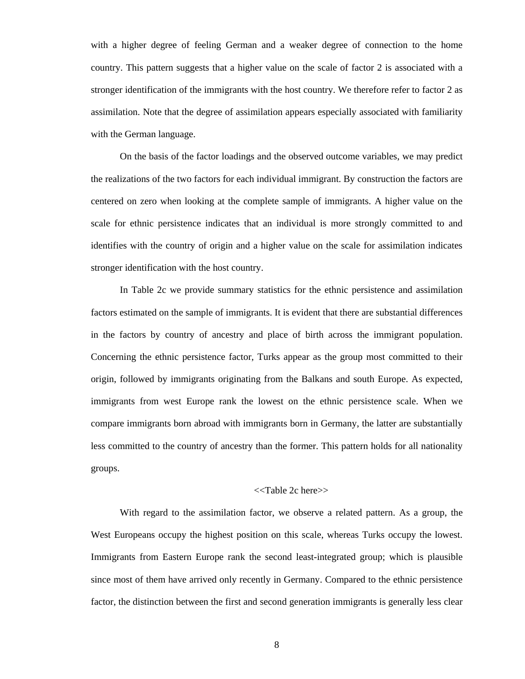with a higher degree of feeling German and a weaker degree of connection to the home country. This pattern suggests that a higher value on the scale of factor 2 is associated with a stronger identification of the immigrants with the host country. We therefore refer to factor 2 as assimilation. Note that the degree of assimilation appears especially associated with familiarity with the German language.

On the basis of the factor loadings and the observed outcome variables, we may predict the realizations of the two factors for each individual immigrant. By construction the factors are centered on zero when looking at the complete sample of immigrants. A higher value on the scale for ethnic persistence indicates that an individual is more strongly committed to and identifies with the country of origin and a higher value on the scale for assimilation indicates stronger identification with the host country.

In Table 2c we provide summary statistics for the ethnic persistence and assimilation factors estimated on the sample of immigrants. It is evident that there are substantial differences in the factors by country of ancestry and place of birth across the immigrant population. Concerning the ethnic persistence factor, Turks appear as the group most committed to their origin, followed by immigrants originating from the Balkans and south Europe. As expected, immigrants from west Europe rank the lowest on the ethnic persistence scale. When we compare immigrants born abroad with immigrants born in Germany, the latter are substantially less committed to the country of ancestry than the former. This pattern holds for all nationality groups.

# <<Table 2c here>>

With regard to the assimilation factor, we observe a related pattern. As a group, the West Europeans occupy the highest position on this scale, whereas Turks occupy the lowest. Immigrants from Eastern Europe rank the second least-integrated group; which is plausible since most of them have arrived only recently in Germany. Compared to the ethnic persistence factor, the distinction between the first and second generation immigrants is generally less clear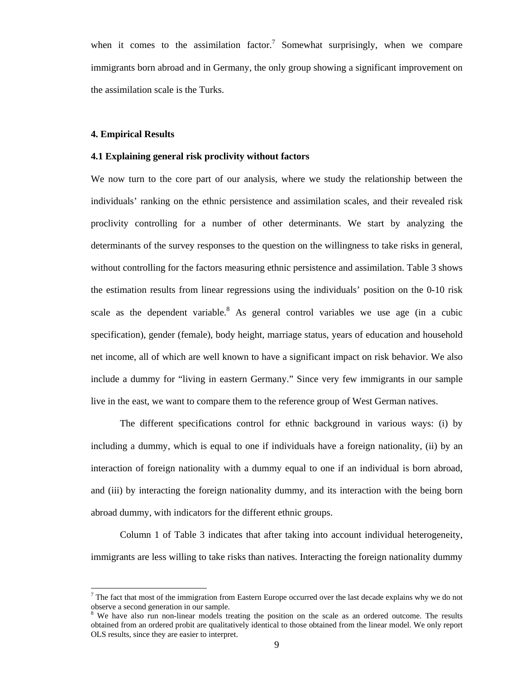when it comes to the assimilation factor.<sup>7</sup> Somewhat surprisingly, when we compare immigrants born abroad and in Germany, the only group showing a significant improvement on the assimilation scale is the Turks.

#### **4. Empirical Results**

 $\overline{a}$ 

### **4.1 Explaining general risk proclivity without factors**

We now turn to the core part of our analysis, where we study the relationship between the individuals' ranking on the ethnic persistence and assimilation scales, and their revealed risk proclivity controlling for a number of other determinants. We start by analyzing the determinants of the survey responses to the question on the willingness to take risks in general, without controlling for the factors measuring ethnic persistence and assimilation. Table 3 shows the estimation results from linear regressions using the individuals' position on the 0-10 risk scale as the dependent variable.<sup>8</sup> As general control variables we use age (in a cubic specification), gender (female), body height, marriage status, years of education and household net income, all of which are well known to have a significant impact on risk behavior. We also include a dummy for "living in eastern Germany." Since very few immigrants in our sample live in the east, we want to compare them to the reference group of West German natives.

The different specifications control for ethnic background in various ways: (i) by including a dummy, which is equal to one if individuals have a foreign nationality, (ii) by an interaction of foreign nationality with a dummy equal to one if an individual is born abroad, and (iii) by interacting the foreign nationality dummy, and its interaction with the being born abroad dummy, with indicators for the different ethnic groups.

Column 1 of Table 3 indicates that after taking into account individual heterogeneity, immigrants are less willing to take risks than natives. Interacting the foreign nationality dummy

 $7$  The fact that most of the immigration from Eastern Europe occurred over the last decade explains why we do not observe a second generation in our sample.

<sup>&</sup>lt;sup>8</sup> We have also run non-linear models treating the position on the scale as an ordered outcome. The results obtained from an ordered probit are qualitatively identical to those obtained from the linear model. We only report OLS results, since they are easier to interpret.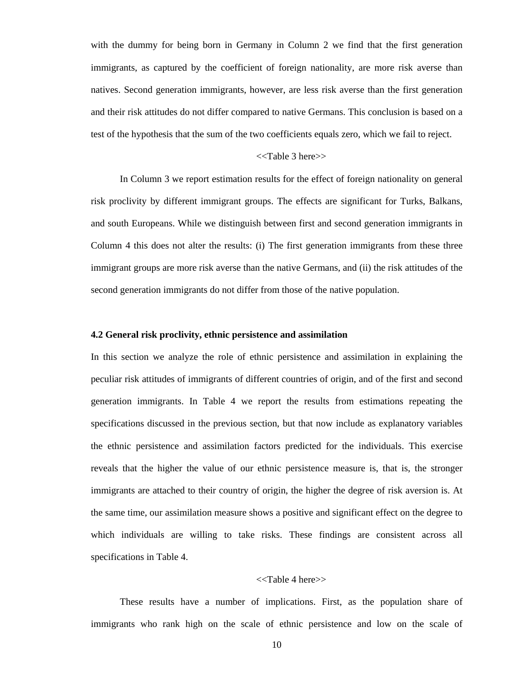with the dummy for being born in Germany in Column 2 we find that the first generation immigrants, as captured by the coefficient of foreign nationality, are more risk averse than natives. Second generation immigrants, however, are less risk averse than the first generation and their risk attitudes do not differ compared to native Germans. This conclusion is based on a test of the hypothesis that the sum of the two coefficients equals zero, which we fail to reject.

## <<Table 3 here>>

In Column 3 we report estimation results for the effect of foreign nationality on general risk proclivity by different immigrant groups. The effects are significant for Turks, Balkans, and south Europeans. While we distinguish between first and second generation immigrants in Column 4 this does not alter the results: (i) The first generation immigrants from these three immigrant groups are more risk averse than the native Germans, and (ii) the risk attitudes of the second generation immigrants do not differ from those of the native population.

### **4.2 General risk proclivity, ethnic persistence and assimilation**

In this section we analyze the role of ethnic persistence and assimilation in explaining the peculiar risk attitudes of immigrants of different countries of origin, and of the first and second generation immigrants. In Table 4 we report the results from estimations repeating the specifications discussed in the previous section, but that now include as explanatory variables the ethnic persistence and assimilation factors predicted for the individuals. This exercise reveals that the higher the value of our ethnic persistence measure is, that is, the stronger immigrants are attached to their country of origin, the higher the degree of risk aversion is. At the same time, our assimilation measure shows a positive and significant effect on the degree to which individuals are willing to take risks. These findings are consistent across all specifications in Table 4.

### <<Table 4 here>>

These results have a number of implications. First, as the population share of immigrants who rank high on the scale of ethnic persistence and low on the scale of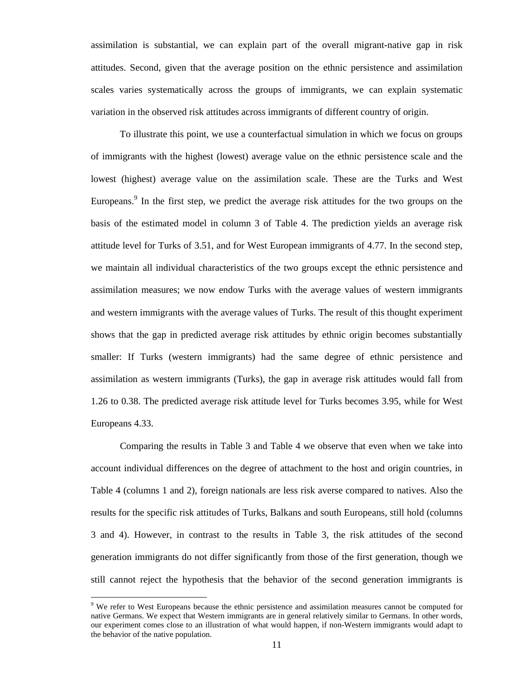assimilation is substantial, we can explain part of the overall migrant-native gap in risk attitudes. Second, given that the average position on the ethnic persistence and assimilation scales varies systematically across the groups of immigrants, we can explain systematic variation in the observed risk attitudes across immigrants of different country of origin.

To illustrate this point, we use a counterfactual simulation in which we focus on groups of immigrants with the highest (lowest) average value on the ethnic persistence scale and the lowest (highest) average value on the assimilation scale. These are the Turks and West Europeans.<sup>9</sup> In the first step, we predict the average risk attitudes for the two groups on the basis of the estimated model in column 3 of Table 4. The prediction yields an average risk attitude level for Turks of 3.51, and for West European immigrants of 4.77. In the second step, we maintain all individual characteristics of the two groups except the ethnic persistence and assimilation measures; we now endow Turks with the average values of western immigrants and western immigrants with the average values of Turks. The result of this thought experiment shows that the gap in predicted average risk attitudes by ethnic origin becomes substantially smaller: If Turks (western immigrants) had the same degree of ethnic persistence and assimilation as western immigrants (Turks), the gap in average risk attitudes would fall from 1.26 to 0.38. The predicted average risk attitude level for Turks becomes 3.95, while for West Europeans 4.33.

Comparing the results in Table 3 and Table 4 we observe that even when we take into account individual differences on the degree of attachment to the host and origin countries, in Table 4 (columns 1 and 2), foreign nationals are less risk averse compared to natives. Also the results for the specific risk attitudes of Turks, Balkans and south Europeans, still hold (columns 3 and 4). However, in contrast to the results in Table 3, the risk attitudes of the second generation immigrants do not differ significantly from those of the first generation, though we still cannot reject the hypothesis that the behavior of the second generation immigrants is

 $\overline{a}$ 

<sup>&</sup>lt;sup>9</sup> We refer to West Europeans because the ethnic persistence and assimilation measures cannot be computed for native Germans. We expect that Western immigrants are in general relatively similar to Germans. In other words, our experiment comes close to an illustration of what would happen, if non-Western immigrants would adapt to the behavior of the native population.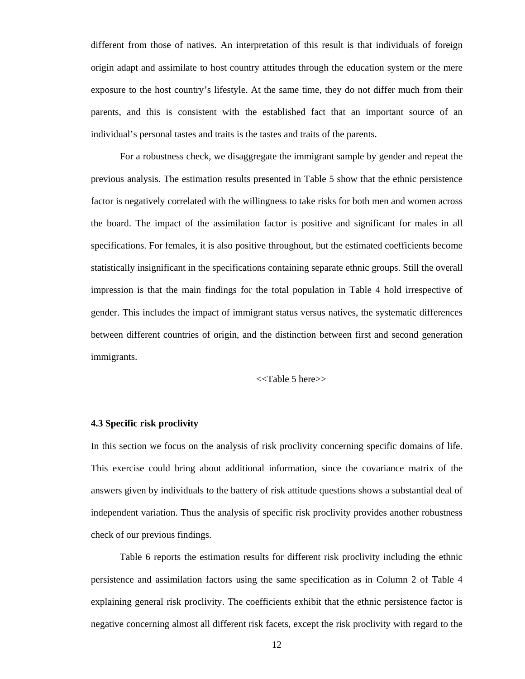different from those of natives. An interpretation of this result is that individuals of foreign origin adapt and assimilate to host country attitudes through the education system or the mere exposure to the host country's lifestyle. At the same time, they do not differ much from their parents, and this is consistent with the established fact that an important source of an individual's personal tastes and traits is the tastes and traits of the parents.

For a robustness check, we disaggregate the immigrant sample by gender and repeat the previous analysis. The estimation results presented in Table 5 show that the ethnic persistence factor is negatively correlated with the willingness to take risks for both men and women across the board. The impact of the assimilation factor is positive and significant for males in all specifications. For females, it is also positive throughout, but the estimated coefficients become statistically insignificant in the specifications containing separate ethnic groups. Still the overall impression is that the main findings for the total population in Table 4 hold irrespective of gender. This includes the impact of immigrant status versus natives, the systematic differences between different countries of origin, and the distinction between first and second generation immigrants.

<<Table 5 here>>

# **4.3 Specific risk proclivity**

In this section we focus on the analysis of risk proclivity concerning specific domains of life. This exercise could bring about additional information, since the covariance matrix of the answers given by individuals to the battery of risk attitude questions shows a substantial deal of independent variation. Thus the analysis of specific risk proclivity provides another robustness check of our previous findings.

Table 6 reports the estimation results for different risk proclivity including the ethnic persistence and assimilation factors using the same specification as in Column 2 of Table 4 explaining general risk proclivity. The coefficients exhibit that the ethnic persistence factor is negative concerning almost all different risk facets, except the risk proclivity with regard to the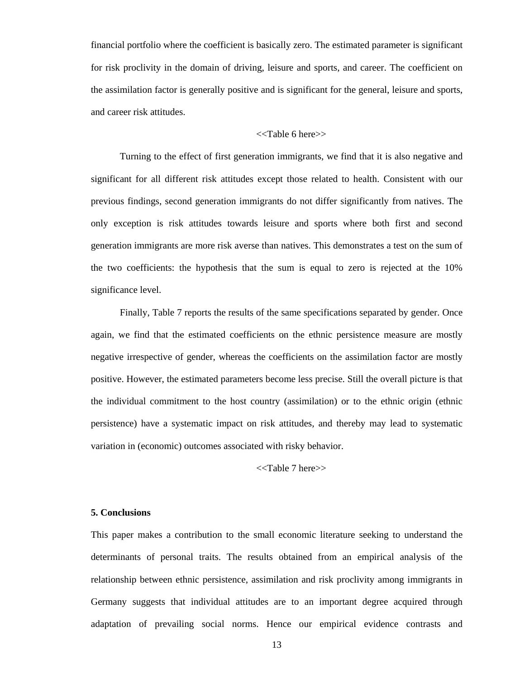financial portfolio where the coefficient is basically zero. The estimated parameter is significant for risk proclivity in the domain of driving, leisure and sports, and career. The coefficient on the assimilation factor is generally positive and is significant for the general, leisure and sports, and career risk attitudes.

# <<Table 6 here>>

Turning to the effect of first generation immigrants, we find that it is also negative and significant for all different risk attitudes except those related to health. Consistent with our previous findings, second generation immigrants do not differ significantly from natives. The only exception is risk attitudes towards leisure and sports where both first and second generation immigrants are more risk averse than natives. This demonstrates a test on the sum of the two coefficients: the hypothesis that the sum is equal to zero is rejected at the 10% significance level.

Finally, Table 7 reports the results of the same specifications separated by gender. Once again, we find that the estimated coefficients on the ethnic persistence measure are mostly negative irrespective of gender, whereas the coefficients on the assimilation factor are mostly positive. However, the estimated parameters become less precise. Still the overall picture is that the individual commitment to the host country (assimilation) or to the ethnic origin (ethnic persistence) have a systematic impact on risk attitudes, and thereby may lead to systematic variation in (economic) outcomes associated with risky behavior.

<<Table 7 here>>

#### **5. Conclusions**

This paper makes a contribution to the small economic literature seeking to understand the determinants of personal traits. The results obtained from an empirical analysis of the relationship between ethnic persistence, assimilation and risk proclivity among immigrants in Germany suggests that individual attitudes are to an important degree acquired through adaptation of prevailing social norms. Hence our empirical evidence contrasts and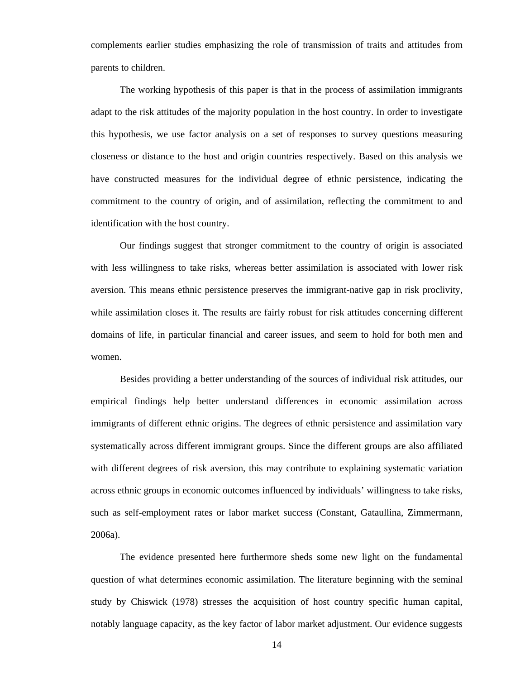complements earlier studies emphasizing the role of transmission of traits and attitudes from parents to children.

The working hypothesis of this paper is that in the process of assimilation immigrants adapt to the risk attitudes of the majority population in the host country. In order to investigate this hypothesis, we use factor analysis on a set of responses to survey questions measuring closeness or distance to the host and origin countries respectively. Based on this analysis we have constructed measures for the individual degree of ethnic persistence, indicating the commitment to the country of origin, and of assimilation, reflecting the commitment to and identification with the host country.

Our findings suggest that stronger commitment to the country of origin is associated with less willingness to take risks, whereas better assimilation is associated with lower risk aversion. This means ethnic persistence preserves the immigrant-native gap in risk proclivity, while assimilation closes it. The results are fairly robust for risk attitudes concerning different domains of life, in particular financial and career issues, and seem to hold for both men and women.

Besides providing a better understanding of the sources of individual risk attitudes, our empirical findings help better understand differences in economic assimilation across immigrants of different ethnic origins. The degrees of ethnic persistence and assimilation vary systematically across different immigrant groups. Since the different groups are also affiliated with different degrees of risk aversion, this may contribute to explaining systematic variation across ethnic groups in economic outcomes influenced by individuals' willingness to take risks, such as self-employment rates or labor market success (Constant, Gataullina, Zimmermann, 2006a).

The evidence presented here furthermore sheds some new light on the fundamental question of what determines economic assimilation. The literature beginning with the seminal study by Chiswick (1978) stresses the acquisition of host country specific human capital, notably language capacity, as the key factor of labor market adjustment. Our evidence suggests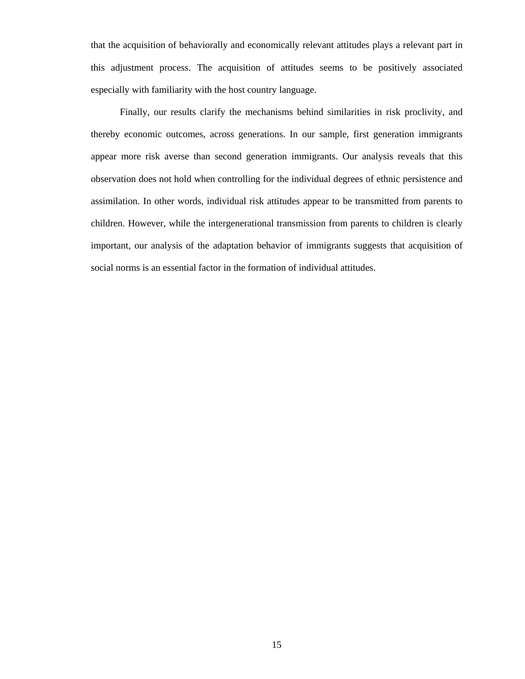that the acquisition of behaviorally and economically relevant attitudes plays a relevant part in this adjustment process. The acquisition of attitudes seems to be positively associated especially with familiarity with the host country language.

Finally, our results clarify the mechanisms behind similarities in risk proclivity, and thereby economic outcomes, across generations. In our sample, first generation immigrants appear more risk averse than second generation immigrants. Our analysis reveals that this observation does not hold when controlling for the individual degrees of ethnic persistence and assimilation. In other words, individual risk attitudes appear to be transmitted from parents to children. However, while the intergenerational transmission from parents to children is clearly important, our analysis of the adaptation behavior of immigrants suggests that acquisition of social norms is an essential factor in the formation of individual attitudes.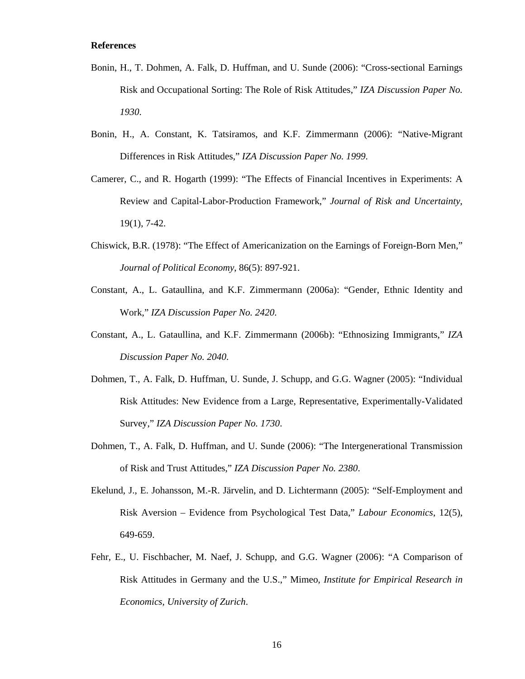### **References**

- Bonin, H., T. Dohmen, A. Falk, D. Huffman, and U. Sunde (2006): "Cross-sectional Earnings Risk and Occupational Sorting: The Role of Risk Attitudes," *IZA Discussion Paper No. 1930*.
- Bonin, H., A. Constant, K. Tatsiramos, and K.F. Zimmermann (2006): "Native-Migrant Differences in Risk Attitudes," *IZA Discussion Paper No. 1999*.
- Camerer, C., and R. Hogarth (1999): "The Effects of Financial Incentives in Experiments: A Review and Capital-Labor-Production Framework," *Journal of Risk and Uncertainty*, 19(1), 7-42.
- Chiswick, B.R. (1978): "The Effect of Americanization on the Earnings of Foreign-Born Men," *Journal of Political Economy*, 86(5): 897-921.
- Constant, A., L. Gataullina, and K.F. Zimmermann (2006a): "Gender, Ethnic Identity and Work," *IZA Discussion Paper No. 2420*.
- Constant, A., L. Gataullina, and K.F. Zimmermann (2006b): "Ethnosizing Immigrants," *IZA Discussion Paper No. 2040*.
- Dohmen, T., A. Falk, D. Huffman, U. Sunde, J. Schupp, and G.G. Wagner (2005): "Individual Risk Attitudes: New Evidence from a Large, Representative, Experimentally-Validated Survey," *IZA Discussion Paper No. 1730*.
- Dohmen, T., A. Falk, D. Huffman, and U. Sunde (2006): "The Intergenerational Transmission of Risk and Trust Attitudes," *IZA Discussion Paper No. 2380*.
- Ekelund, J., E. Johansson, M.-R. Järvelin, and D. Lichtermann (2005): "Self-Employment and Risk Aversion – Evidence from Psychological Test Data," *Labour Economics*, 12(5), 649-659.
- Fehr, E., U. Fischbacher, M. Naef, J. Schupp, and G.G. Wagner (2006): "A Comparison of Risk Attitudes in Germany and the U.S.," Mimeo, *Institute for Empirical Research in Economics, University of Zurich*.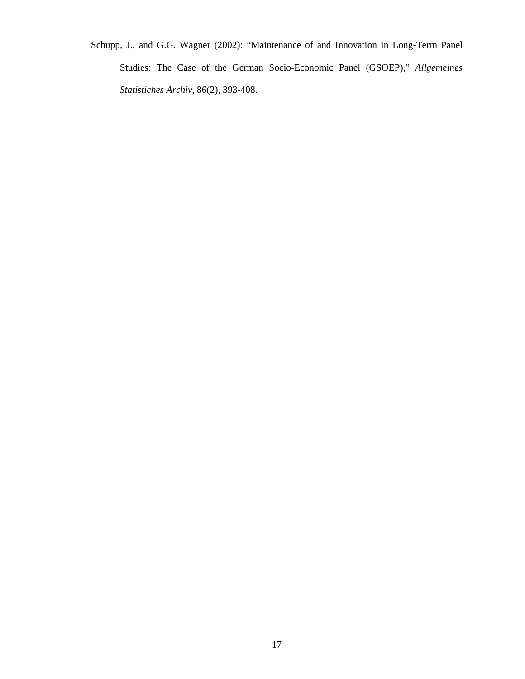Schupp, J., and G.G. Wagner (2002): "Maintenance of and Innovation in Long-Term Panel Studies: The Case of the German Socio-Economic Panel (GSOEP)," *Allgemeines Statistiches Archiv*, 86(2), 393-408.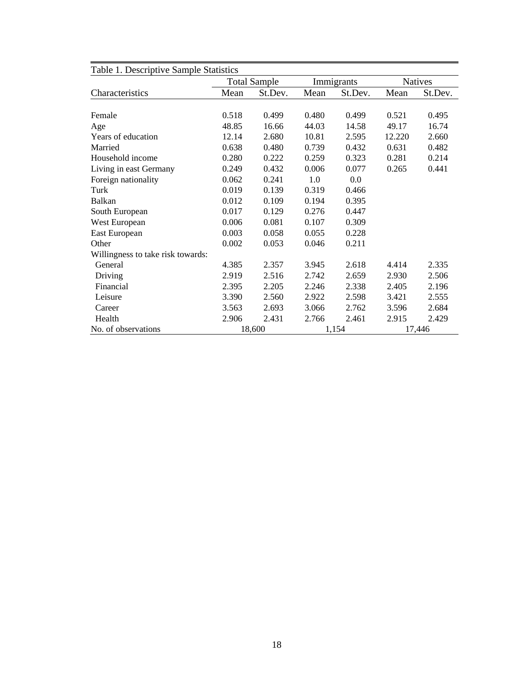| Table 1. Descriptive Sample Statistics |       |                     |       |            |        |                |  |  |
|----------------------------------------|-------|---------------------|-------|------------|--------|----------------|--|--|
|                                        |       | <b>Total Sample</b> |       | Immigrants |        | <b>Natives</b> |  |  |
| Characteristics                        | Mean  | St.Dev.             | Mean  | St.Dev.    | Mean   | St.Dev.        |  |  |
|                                        |       |                     |       |            |        |                |  |  |
| Female                                 | 0.518 | 0.499               | 0.480 | 0.499      | 0.521  | 0.495          |  |  |
| Age                                    | 48.85 | 16.66               | 44.03 | 14.58      | 49.17  | 16.74          |  |  |
| Years of education                     | 12.14 | 2.680               | 10.81 | 2.595      | 12.220 | 2.660          |  |  |
| Married                                | 0.638 | 0.480               | 0.739 | 0.432      | 0.631  | 0.482          |  |  |
| Household income                       | 0.280 | 0.222               | 0.259 | 0.323      | 0.281  | 0.214          |  |  |
| Living in east Germany                 | 0.249 | 0.432               | 0.006 | 0.077      | 0.265  | 0.441          |  |  |
| Foreign nationality                    | 0.062 | 0.241               | 1.0   | 0.0        |        |                |  |  |
| Turk                                   | 0.019 | 0.139               | 0.319 | 0.466      |        |                |  |  |
| <b>Balkan</b>                          | 0.012 | 0.109               | 0.194 | 0.395      |        |                |  |  |
| South European                         | 0.017 | 0.129               | 0.276 | 0.447      |        |                |  |  |
| West European                          | 0.006 | 0.081               | 0.107 | 0.309      |        |                |  |  |
| East European                          | 0.003 | 0.058               | 0.055 | 0.228      |        |                |  |  |
| Other                                  | 0.002 | 0.053               | 0.046 | 0.211      |        |                |  |  |
| Willingness to take risk towards:      |       |                     |       |            |        |                |  |  |
| General                                | 4.385 | 2.357               | 3.945 | 2.618      | 4.414  | 2.335          |  |  |
| Driving                                | 2.919 | 2.516               | 2.742 | 2.659      | 2.930  | 2.506          |  |  |
| Financial                              | 2.395 | 2.205               | 2.246 | 2.338      | 2.405  | 2.196          |  |  |
| Leisure                                | 3.390 | 2.560               | 2.922 | 2.598      | 3.421  | 2.555          |  |  |
| Career                                 | 3.563 | 2.693               | 3.066 | 2.762      | 3.596  | 2.684          |  |  |
| Health                                 | 2.906 | 2.431               | 2.766 | 2.461      | 2.915  | 2.429          |  |  |
| No. of observations                    |       | 18,600              |       | 1,154      |        | 17,446         |  |  |

|  | Table 1. Descriptive Sample Statistics |  |  |
|--|----------------------------------------|--|--|
|--|----------------------------------------|--|--|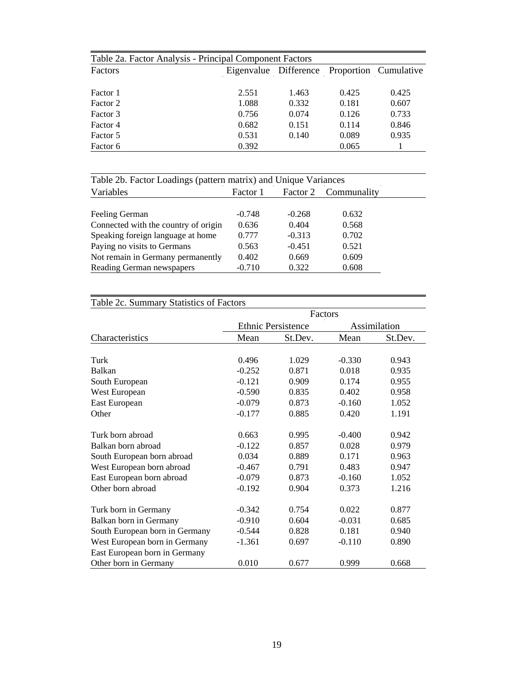| Table 2a. Factor Analysis - Principal Component Factors |       |                                             |       |       |  |  |  |
|---------------------------------------------------------|-------|---------------------------------------------|-------|-------|--|--|--|
| Factors                                                 |       | Eigenvalue Difference Proportion Cumulative |       |       |  |  |  |
|                                                         |       |                                             |       |       |  |  |  |
| Factor 1                                                | 2.551 | 1.463                                       | 0.425 | 0.425 |  |  |  |
| Factor 2                                                | 1.088 | 0.332                                       | 0.181 | 0.607 |  |  |  |
| Factor 3                                                | 0.756 | 0.074                                       | 0.126 | 0.733 |  |  |  |
| Factor 4                                                | 0.682 | 0.151                                       | 0.114 | 0.846 |  |  |  |
| Factor 5                                                | 0.531 | 0.140                                       | 0.089 | 0.935 |  |  |  |
| Factor 6                                                | 0.392 |                                             | 0.065 |       |  |  |  |

| Table 2b. Factor Loadings (pattern matrix) and Unique Variances |          |          |                      |  |  |  |
|-----------------------------------------------------------------|----------|----------|----------------------|--|--|--|
| Variables                                                       | Factor 1 |          | Factor 2 Communality |  |  |  |
|                                                                 |          |          |                      |  |  |  |
| Feeling German                                                  | $-0.748$ | $-0.268$ | 0.632                |  |  |  |
| Connected with the country of origin                            | 0.636    | 0.404    | 0.568                |  |  |  |
| Speaking foreign language at home                               | 0.777    | $-0.313$ | 0.702                |  |  |  |
| Paying no visits to Germans                                     | 0.563    | $-0.451$ | 0.521                |  |  |  |
| Not remain in Germany permanently                               | 0.402    | 0.669    | 0.609                |  |  |  |
| Reading German newspapers                                       | $-0.710$ | 0.322    | 0.608                |  |  |  |

## Table 2c. Summary Statistics of Factors

|                                | Factors  |                           |          |              |  |  |  |  |
|--------------------------------|----------|---------------------------|----------|--------------|--|--|--|--|
|                                |          | <b>Ethnic Persistence</b> |          | Assimilation |  |  |  |  |
| Characteristics                | Mean     | St.Dev.                   | Mean     | St.Dev.      |  |  |  |  |
| Turk                           | 0.496    | 1.029                     | $-0.330$ | 0.943        |  |  |  |  |
| Balkan                         | $-0.252$ | 0.871                     | 0.018    | 0.935        |  |  |  |  |
| South European                 | $-0.121$ | 0.909                     | 0.174    | 0.955        |  |  |  |  |
| West European                  | $-0.590$ | 0.835                     | 0.402    | 0.958        |  |  |  |  |
| East European                  | $-0.079$ | 0.873                     | $-0.160$ | 1.052        |  |  |  |  |
| Other                          | $-0.177$ | 0.885                     | 0.420    | 1.191        |  |  |  |  |
| Turk born abroad               | 0.663    | 0.995                     | $-0.400$ | 0.942        |  |  |  |  |
| Balkan born abroad             | $-0.122$ | 0.857                     | 0.028    | 0.979        |  |  |  |  |
| South European born abroad     | 0.034    | 0.889                     | 0.171    | 0.963        |  |  |  |  |
| West European born abroad      | $-0.467$ | 0.791                     | 0.483    | 0.947        |  |  |  |  |
| East European born abroad      | $-0.079$ | 0.873                     | $-0.160$ | 1.052        |  |  |  |  |
| Other born abroad              | $-0.192$ | 0.904                     | 0.373    | 1.216        |  |  |  |  |
| Turk born in Germany           | $-0.342$ | 0.754                     | 0.022    | 0.877        |  |  |  |  |
| Balkan born in Germany         | $-0.910$ | 0.604                     | $-0.031$ | 0.685        |  |  |  |  |
| South European born in Germany | $-0.544$ | 0.828                     | 0.181    | 0.940        |  |  |  |  |
| West European born in Germany  | $-1.361$ | 0.697                     | $-0.110$ | 0.890        |  |  |  |  |
| East European born in Germany  |          |                           |          |              |  |  |  |  |
| Other born in Germany          | 0.010    | 0.677                     | 0.999    | 0.668        |  |  |  |  |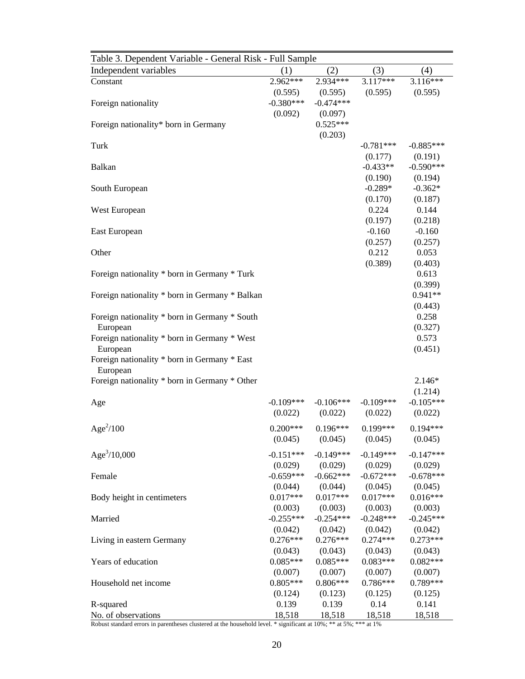| Table 3. Dependent Variable - General Risk - Full Sample |             |             |                                         |             |  |  |
|----------------------------------------------------------|-------------|-------------|-----------------------------------------|-------------|--|--|
| Independent variables                                    | (1)         | (2)         | (3)                                     | (4)         |  |  |
| Constant                                                 | $2.962***$  | $2.934***$  | $3.117***$                              | $3.116***$  |  |  |
|                                                          | (0.595)     | (0.595)     | (0.595)                                 | (0.595)     |  |  |
| Foreign nationality                                      | $-0.380***$ | $-0.474***$ |                                         |             |  |  |
|                                                          | (0.092)     | (0.097)     |                                         |             |  |  |
| Foreign nationality* born in Germany                     |             | $0.525***$  |                                         |             |  |  |
|                                                          |             | (0.203)     |                                         |             |  |  |
| Turk                                                     |             |             | $-0.781***$                             | $-0.885***$ |  |  |
|                                                          |             |             |                                         |             |  |  |
|                                                          |             |             | (0.177)                                 | (0.191)     |  |  |
| Balkan                                                   |             |             | $-0.433**$                              | $-0.590***$ |  |  |
|                                                          |             |             | (0.190)                                 | (0.194)     |  |  |
| South European                                           |             |             | $-0.289*$                               | $-0.362*$   |  |  |
|                                                          |             |             | (0.170)                                 | (0.187)     |  |  |
| West European                                            |             |             | 0.224                                   | 0.144       |  |  |
|                                                          |             |             | (0.197)                                 | (0.218)     |  |  |
| East European                                            |             |             | $-0.160$                                | $-0.160$    |  |  |
|                                                          |             |             | (0.257)                                 | (0.257)     |  |  |
| Other                                                    |             |             | 0.212                                   | 0.053       |  |  |
|                                                          |             |             | (0.389)                                 | (0.403)     |  |  |
| Foreign nationality * born in Germany * Turk             |             |             |                                         | 0.613       |  |  |
|                                                          |             |             |                                         | (0.399)     |  |  |
| Foreign nationality * born in Germany * Balkan           |             |             |                                         | $0.941**$   |  |  |
|                                                          |             |             |                                         | (0.443)     |  |  |
| Foreign nationality * born in Germany * South            |             |             |                                         | 0.258       |  |  |
| European                                                 |             |             |                                         | (0.327)     |  |  |
| Foreign nationality * born in Germany * West             |             |             |                                         | 0.573       |  |  |
|                                                          |             |             |                                         |             |  |  |
| European                                                 |             |             |                                         | (0.451)     |  |  |
| Foreign nationality * born in Germany * East             |             |             |                                         |             |  |  |
| European                                                 |             |             |                                         |             |  |  |
| Foreign nationality * born in Germany * Other            |             |             |                                         | $2.146*$    |  |  |
|                                                          |             |             |                                         | (1.214)     |  |  |
| Age                                                      | $-0.109***$ | $-0.106***$ | $-0.109***$                             | $-0.105***$ |  |  |
|                                                          | (0.022)     | (0.022)     | (0.022)                                 | (0.022)     |  |  |
| Age <sup>2</sup> /100                                    | $0.200***$  | $0.196***$  | $0.199***$                              | $0.194***$  |  |  |
|                                                          |             |             | $(0.045)$ $(0.045)$ $(0.045)$ $(0.045)$ |             |  |  |
|                                                          |             |             |                                         |             |  |  |
| Age <sup>3</sup> /10,000                                 | $-0.151***$ | $-0.149***$ | $-0.149***$                             | $-0.147***$ |  |  |
|                                                          | (0.029)     | (0.029)     | (0.029)                                 | (0.029)     |  |  |
| Female                                                   | $-0.659***$ | $-0.662***$ | $-0.672***$                             | $-0.678***$ |  |  |
|                                                          | (0.044)     | (0.044)     | (0.045)                                 | (0.045)     |  |  |
| Body height in centimeters                               | $0.017***$  | $0.017***$  | $0.017***$                              | $0.016***$  |  |  |
|                                                          | (0.003)     | (0.003)     | (0.003)                                 | (0.003)     |  |  |
| Married                                                  | $-0.255***$ | $-0.254***$ | $-0.248***$                             | $-0.245***$ |  |  |
|                                                          | (0.042)     | (0.042)     | (0.042)                                 | (0.042)     |  |  |
| Living in eastern Germany                                | $0.276***$  | $0.276***$  | $0.274***$                              | $0.273***$  |  |  |
|                                                          | (0.043)     | (0.043)     | (0.043)                                 | (0.043)     |  |  |
| Years of education                                       | $0.085***$  | $0.085***$  | $0.083***$                              | $0.082***$  |  |  |
|                                                          | (0.007)     | (0.007)     | (0.007)                                 | (0.007)     |  |  |
| Household net income                                     | $0.805***$  | $0.806***$  | $0.786***$                              | 0.789***    |  |  |
|                                                          |             |             |                                         |             |  |  |
|                                                          | (0.124)     | (0.123)     | (0.125)                                 | (0.125)     |  |  |
| R-squared                                                | 0.139       | 0.139       | 0.14                                    | 0.141       |  |  |
| No. of observations                                      | 18,518      | 18,518      | 18,518                                  | 18,518      |  |  |

Robust standard errors in parentheses clustered at the household level. \* significant at 10%; \*\* at 5%; \*\*\* at 1%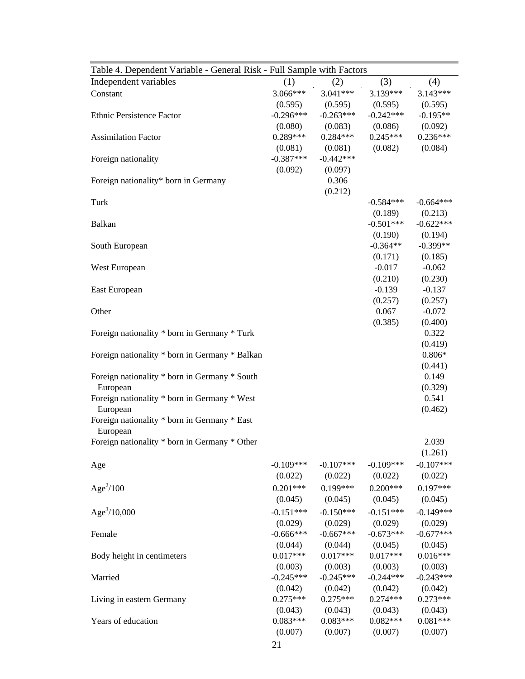| Table 4. Dependent Variable - General Risk - Full Sample with Factors |             |             |             |             |  |  |
|-----------------------------------------------------------------------|-------------|-------------|-------------|-------------|--|--|
| Independent variables                                                 | (1)         | (2)         | (3)         | (4)         |  |  |
| Constant                                                              | 3.066***    | $3.041***$  | $3.139***$  | $3.143***$  |  |  |
|                                                                       | (0.595)     | (0.595)     | (0.595)     | (0.595)     |  |  |
| Ethnic Persistence Factor                                             | $-0.296***$ | $-0.263***$ | $-0.242***$ | $-0.195**$  |  |  |
|                                                                       | (0.080)     | (0.083)     | (0.086)     | (0.092)     |  |  |
| <b>Assimilation Factor</b>                                            | $0.289***$  | $0.284***$  | $0.245***$  | $0.236***$  |  |  |
|                                                                       | (0.081)     | (0.081)     | (0.082)     | (0.084)     |  |  |
| Foreign nationality                                                   | $-0.387***$ | $-0.442***$ |             |             |  |  |
|                                                                       | (0.092)     | (0.097)     |             |             |  |  |
| Foreign nationality* born in Germany                                  |             | 0.306       |             |             |  |  |
|                                                                       |             | (0.212)     |             |             |  |  |
| Turk                                                                  |             |             | $-0.584***$ | $-0.664***$ |  |  |
|                                                                       |             |             | (0.189)     | (0.213)     |  |  |
| <b>Balkan</b>                                                         |             |             | $-0.501***$ | $-0.622***$ |  |  |
|                                                                       |             |             | (0.190)     | (0.194)     |  |  |
| South European                                                        |             |             | $-0.364**$  | $-0.399**$  |  |  |
|                                                                       |             |             | (0.171)     | (0.185)     |  |  |
| West European                                                         |             |             | $-0.017$    | $-0.062$    |  |  |
|                                                                       |             |             | (0.210)     | (0.230)     |  |  |
| East European                                                         |             |             | $-0.139$    | $-0.137$    |  |  |
|                                                                       |             |             | (0.257)     | (0.257)     |  |  |
| Other                                                                 |             |             | 0.067       | $-0.072$    |  |  |
|                                                                       |             |             | (0.385)     | (0.400)     |  |  |
| Foreign nationality * born in Germany * Turk                          |             |             |             | 0.322       |  |  |
|                                                                       |             |             |             | (0.419)     |  |  |
| Foreign nationality * born in Germany * Balkan                        |             |             |             | $0.806*$    |  |  |
|                                                                       |             |             |             | (0.441)     |  |  |
| Foreign nationality * born in Germany * South                         |             |             |             | 0.149       |  |  |
| European                                                              |             |             |             | (0.329)     |  |  |
| Foreign nationality * born in Germany * West                          |             |             |             | 0.541       |  |  |
| European                                                              |             |             |             | (0.462)     |  |  |
| Foreign nationality * born in Germany * East                          |             |             |             |             |  |  |
| European                                                              |             |             |             |             |  |  |
| Foreign nationality * born in Germany * Other                         |             |             |             | 2.039       |  |  |
|                                                                       |             |             |             | (1.261)     |  |  |
| Age                                                                   | $-0.109***$ | $-0.107***$ | $-0.109***$ | $-0.107***$ |  |  |
|                                                                       | (0.022)     | (0.022)     | (0.022)     | (0.022)     |  |  |
| Age $^{2}/100$                                                        | $0.201***$  | $0.199***$  | $0.200***$  | $0.197***$  |  |  |
|                                                                       | (0.045)     | (0.045)     | (0.045)     | (0.045)     |  |  |
| Age <sup>3</sup> /10,000                                              | $-0.151***$ | $-0.150***$ | $-0.151***$ | $-0.149***$ |  |  |
|                                                                       | (0.029)     | (0.029)     | (0.029)     | (0.029)     |  |  |
| Female                                                                | $-0.666***$ | $-0.667***$ | $-0.673***$ | $-0.677***$ |  |  |
|                                                                       | (0.044)     | (0.044)     | (0.045)     | (0.045)     |  |  |
| Body height in centimeters                                            | $0.017***$  | $0.017***$  | $0.017***$  | $0.016***$  |  |  |
|                                                                       | (0.003)     | (0.003)     | (0.003)     | (0.003)     |  |  |
| Married                                                               | $-0.245***$ | $-0.245***$ | $-0.244***$ | $-0.243***$ |  |  |
|                                                                       | (0.042)     | (0.042)     | (0.042)     | (0.042)     |  |  |
| Living in eastern Germany                                             | $0.275***$  | $0.275***$  | $0.274***$  | $0.273***$  |  |  |
|                                                                       | (0.043)     | (0.043)     | (0.043)     | (0.043)     |  |  |
| Years of education                                                    | $0.083***$  | $0.083***$  | $0.082***$  | $0.081***$  |  |  |
|                                                                       | (0.007)     | (0.007)     | (0.007)     | (0.007)     |  |  |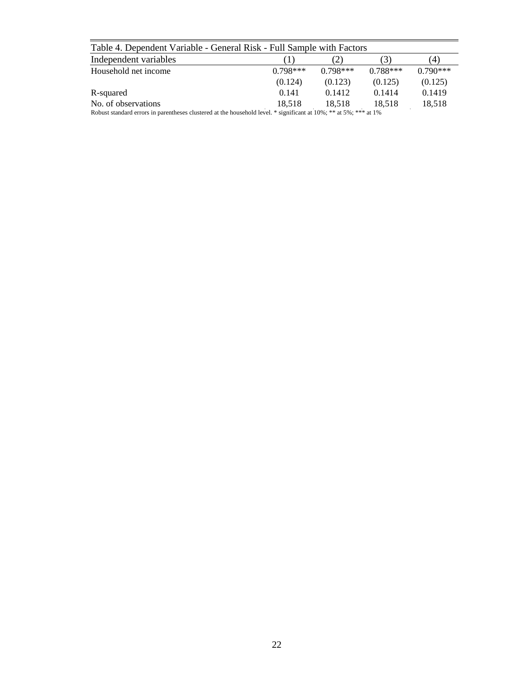| Table 4. Dependent Variable - General Risk - Full Sample with Factors |            |            |            |            |  |  |
|-----------------------------------------------------------------------|------------|------------|------------|------------|--|--|
| Independent variables<br>$\overline{4}$<br>$\mathcal{L}$              |            |            |            |            |  |  |
| Household net income                                                  | $0.798***$ | $0.798***$ | $0.788***$ | $0.790***$ |  |  |
|                                                                       | (0.124)    | (0.123)    | (0.125)    | (0.125)    |  |  |
| R-squared                                                             | 0.141      | 0.1412     | 0.1414     | 0.1419     |  |  |
| No. of observations                                                   | 18.518     | 18.518     | 18.518     | 18,518     |  |  |

Robust standard errors in parentheses clustered at the household level. \* significant at 10%; \*\*\* at 5%; \*\*\* at 1%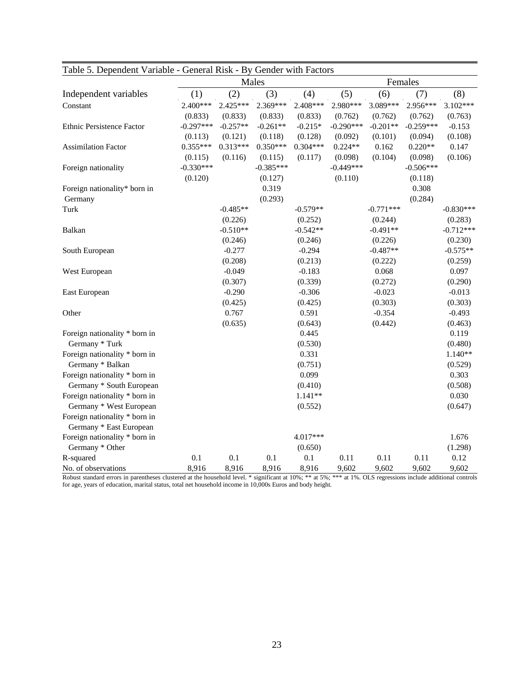|                               |             |            | Males       |            |             |             | Females     |             |
|-------------------------------|-------------|------------|-------------|------------|-------------|-------------|-------------|-------------|
| Independent variables         | (1)         | (2)        | (3)         | (4)        | (5)         | (6)         | (7)         | (8)         |
| Constant                      | 2.400***    | $2.425***$ | 2.369***    | 2.408***   | 2.980***    | 3.089***    | 2.956***    | 3.102***    |
|                               | (0.833)     | (0.833)    | (0.833)     | (0.833)    | (0.762)     | (0.762)     | (0.762)     | (0.763)     |
| Ethnic Persistence Factor     | $-0.297***$ | $-0.257**$ | $-0.261**$  | $-0.215*$  | $-0.290***$ | $-0.201**$  | $-0.259***$ | $-0.153$    |
|                               | (0.113)     | (0.121)    | (0.118)     | (0.128)    | (0.092)     | (0.101)     | (0.094)     | (0.108)     |
| <b>Assimilation Factor</b>    | $0.355***$  | $0.313***$ | $0.350***$  | $0.304***$ | $0.224**$   | 0.162       | $0.220**$   | 0.147       |
|                               | (0.115)     | (0.116)    | (0.115)     | (0.117)    | (0.098)     | (0.104)     | (0.098)     | (0.106)     |
| Foreign nationality           | $-0.330***$ |            | $-0.385***$ |            | $-0.449***$ |             | $-0.506***$ |             |
|                               | (0.120)     |            | (0.127)     |            | (0.110)     |             | (0.118)     |             |
| Foreign nationality* born in  |             |            | 0.319       |            |             |             | 0.308       |             |
| Germany                       |             |            | (0.293)     |            |             |             | (0.284)     |             |
| Turk                          |             | $-0.485**$ |             | $-0.579**$ |             | $-0.771***$ |             | $-0.830***$ |
|                               |             | (0.226)    |             | (0.252)    |             | (0.244)     |             | (0.283)     |
| <b>Balkan</b>                 |             | $-0.510**$ |             | $-0.542**$ |             | $-0.491**$  |             | $-0.712***$ |
|                               |             | (0.246)    |             | (0.246)    |             | (0.226)     |             | (0.230)     |
| South European                |             | $-0.277$   |             | $-0.294$   |             | $-0.487**$  |             | $-0.575**$  |
|                               |             | (0.208)    |             | (0.213)    |             | (0.222)     |             | (0.259)     |
| West European                 |             | $-0.049$   |             | $-0.183$   |             | 0.068       |             | 0.097       |
|                               |             | (0.307)    |             | (0.339)    |             | (0.272)     |             | (0.290)     |
| East European                 |             | $-0.290$   |             | $-0.306$   |             | $-0.023$    |             | $-0.013$    |
|                               |             | (0.425)    |             | (0.425)    |             | (0.303)     |             | (0.303)     |
| Other                         |             | 0.767      |             | 0.591      |             | $-0.354$    |             | $-0.493$    |
|                               |             | (0.635)    |             | (0.643)    |             | (0.442)     |             | (0.463)     |
| Foreign nationality * born in |             |            |             | 0.445      |             |             |             | 0.119       |
| Germany * Turk                |             |            |             | (0.530)    |             |             |             | (0.480)     |
| Foreign nationality * born in |             |            |             | 0.331      |             |             |             | $1.140**$   |
| Germany * Balkan              |             |            |             | (0.751)    |             |             |             | (0.529)     |
| Foreign nationality * born in |             |            |             | 0.099      |             |             |             | 0.303       |
| Germany * South European      |             |            |             | (0.410)    |             |             |             | (0.508)     |
| Foreign nationality * born in |             |            |             | $1.141**$  |             |             |             | 0.030       |
| Germany * West European       |             |            |             | (0.552)    |             |             |             | (0.647)     |
| Foreign nationality * born in |             |            |             |            |             |             |             |             |
| Germany * East European       |             |            |             |            |             |             |             |             |
| Foreign nationality * born in |             |            |             | 4.017***   |             |             |             | 1.676       |
| Germany * Other               |             |            |             | (0.650)    |             |             |             | (1.298)     |
| R-squared                     | 0.1         | 0.1        | 0.1         | 0.1        | 0.11        | 0.11        | 0.11        | 0.12        |
| No. of observations           | 8,916       | 8,916      | 8,916       | 8,916      | 9,602       | 9,602       | 9,602       | 9,602       |

# Table 5. Dependent Variable - General Risk - By Gender with Factors

Robust standard errors in parentheses clustered at the household level. \* significant at 10%; \*\* at 5%; \*\*\* at 1%. OLS regressions include additional controls for age, years of education, marital status, total net household income in 10,000s Euros and body height.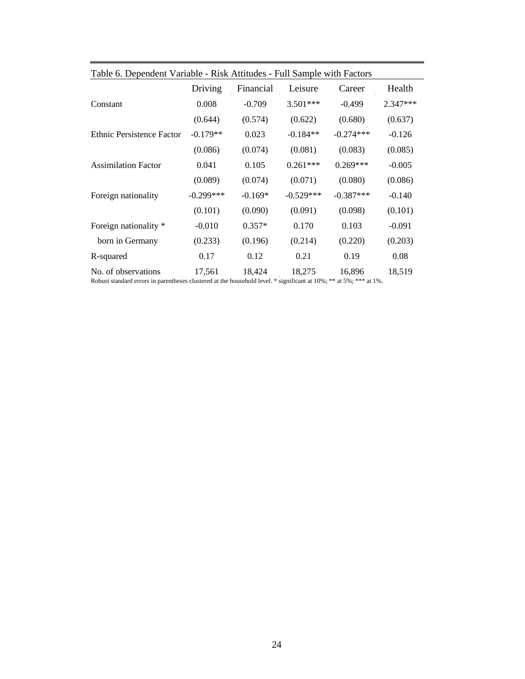| Table 6. Dependent Variable - Risk Attitudes - Full Sample with Factors |             |           |             |             |          |  |
|-------------------------------------------------------------------------|-------------|-----------|-------------|-------------|----------|--|
|                                                                         | Driving     | Financial | Leisure     | Career      | Health   |  |
| Constant                                                                | 0.008       | $-0.709$  | $3.501***$  | $-0.499$    | 2.347*** |  |
|                                                                         | (0.644)     | (0.574)   | (0.622)     | (0.680)     | (0.637)  |  |
| Ethnic Persistence Factor                                               | $-0.179**$  | 0.023     | $-0.184**$  | $-0.274***$ | $-0.126$ |  |
|                                                                         | (0.086)     | (0.074)   | (0.081)     | (0.083)     | (0.085)  |  |
| <b>Assimilation Factor</b>                                              | 0.041       | 0.105     | $0.261***$  | $0.269***$  | $-0.005$ |  |
|                                                                         | (0.089)     | (0.074)   | (0.071)     | (0.080)     | (0.086)  |  |
| Foreign nationality                                                     | $-0.299***$ | $-0.169*$ | $-0.529***$ | $-0.387***$ | $-0.140$ |  |
|                                                                         | (0.101)     | (0.090)   | (0.091)     | (0.098)     | (0.101)  |  |
| Foreign nationality *                                                   | $-0.010$    | $0.357*$  | 0.170       | 0.103       | $-0.091$ |  |
| born in Germany                                                         | (0.233)     | (0.196)   | (0.214)     | (0.220)     | (0.203)  |  |
| R-squared                                                               | 0.17        | 0.12      | 0.21        | 0.19        | 0.08     |  |
| No. of observations                                                     | 17,561      | 18,424    | 18,275      | 16,896      | 18,519   |  |

Robust standard errors in parentheses clustered at the household level. \* significant at 10%; \*\* at 5%; \*\*\* at 1%.